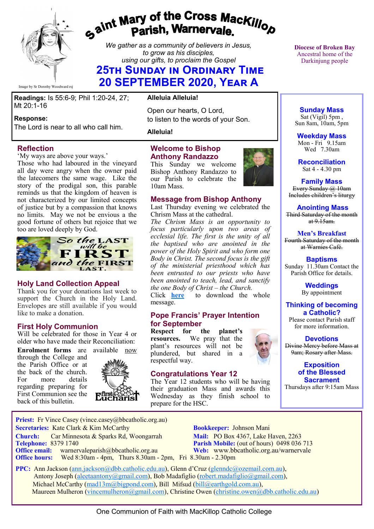

# *Gaint Mary of the Cross MacKillop*<br>*Gaint* **Parish, Warnervale.**

*We gather as a community of believers in Jesus, to grow as his disciples, using our gifts, to proclaim the Gospel*

## **25th Sunday in Ordinary Time 20 SEPTEMBER 2020, Year A**

**Readings:** Is 55:6-9; Phil 1:20-24, 27; Mt 20:1-16

#### **Response:**

The Lord is near to all who call him.

#### **Reflection**

'My ways are above your ways.'

Those who had laboured in the vineyard all day were angry when the owner paid the latecomers the same wage. Like the story of the prodigal son, this parable reminds us that the kingdom of heaven is not characterized by our limited concepts of justice but by a compassion that knows no limits. May we not be envious a the good fortune of others but rejoice that we too are loved deeply by God.



#### **Holy Land Collection Appeal**

Thank you for your donations last week to support the Church in the Holy Land. Envelopes are still available if you would like to make a donation.

#### **First Holy Communion**

Will be celebrated for those in Year 4 or older who have made their Reconciliation:

**Enrolment forms** are available now through the College and the Parish Office or at the back of the church. For more details regarding preparing for First Communion see the

back of this bulletin.



#### **Alleluia Alleluia!**

Open our hearts, O Lord, to listen to the words of your Son.

**Alleluia!**

#### **Welcome to Bishop Anthony Randazzo**

This Sunday we welcome Bishop Anthony Randazzo to our Parish to celebrate the 10am Mass.

#### **Message from Bishop Anthony**

Last Thursday evening we celebrated the Chrism Mass at the cathedral.

*The Chrism Mass is an opportunity to focus particularly upon two areas of ecclesial life. The first is the unity of all the baptised who are anointed in the power of the Holy Spirit and who form one Body in Christ. The second focus is the gift of the ministerial priesthood which has been entrusted to our priests who have been anointed to teach, lead, and sanctify the one Body of Christ – the Church.*  to download the whole

message.

#### **Pope Francis' Prayer Intention for September**

**Respect for the planet's resources.** We pray that the plant's resources will not be plundered, but shared in a respectful way.

#### **Congratulations Year 12**

The Year 12 students who will be having their graduation Mass and awards this Wednesday as they finish school to prepare for the HSC.



**Diocese of Broken Bay**  Ancestral home of the Darkinjung people

**Sunday Mass** Sat (Vigil) 5pm, Sun 8am, 10am, 5pm

**Weekday Mass** Mon - Fri  $9.15$ am Wed 7.30am

**Reconciliation** Sat 4 - 4.30 pm

**Family Mass**  Every Sunday @ 10am Includes children's liturgy

**Anointing Mass** Third Saturday of the month at  $9.15$ am.

**Men's Breakfast** Fourth Saturday of the month

at Warnies Café.

**Baptisms** Sunday 11.30am Contact the Parish Office for details.

> **Weddings**  By appointment

**Thinking of becoming a Catholic?**

Please contact Parish staff for more information.

#### **Devotions** Divine Mercy before Mass at

9am; Rosary after Mass.

**Exposition of the Blessed Sacrament**

Thursdays after 9:15am Mass

**Priest:** Fr Vince Casey (vince.casey@bbcatholic.org.au) **Secretaries:** Kate Clark & Kim McCarthy **Bookkeeper:** Johnson Mani **Church:** Car Minnesota & Sparks Rd, Woongarrah **Mail:** PO Box 4367, Lake Haven, 2263<br> **Telephone:** 8379 1740 **Parish Mobile:** (out of hours) 0498 036

**Office email:** warnervaleparish@bbcatholic.org.au **Web:** [www.bbcatholic.org.au/warnervale](https://www.bbcatholic.org.au/warnervale) **Office hours:** Wed 8:30am - 4pm, Thurs 8.30am - 2pm, Fri 8.30am - 2.30pm

**Parish Mobile:** (out of hours) 0498 036 713

 **PPC:** Ann Jackson ([ann.jackson@dbb.catholic.edu.au\),](mailto:ann.jackson@dbb.catholic.edu.au) Glenn d'Cruz ([glenndc@ozemail.com.au\)](mailto:glenndc@ozemail.com.au), Antony Joseph ([aleetaantony@gmail.com\),](mailto:aleetaantony@gmail.com) Bob Madafiglio [\(robert.madafiglio@gmail.com\),](mailto:robert.madafiglio@gmail.com) Michael McCarthy ([mad13m@bigpond.com\)](mailto:mad13m@bigpond.com), Bill Mifsud ([bill@earthgold.com.au\),](mailto:bill@earthgold.com.au) Maureen Mulheron ([vincemulheron@gmail.com\)](mailto:vincemulheron@gmail.com), Christine Owen (christine.owen[@dbb.catholic.edu.au\)](mailto:ann.jackson@dbb.catholic.edu.au)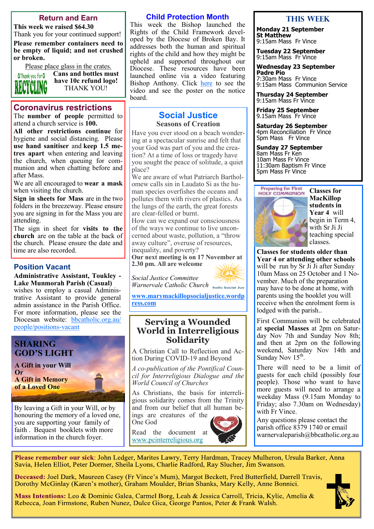#### **Return and Earn**

**This week we raised \$64.30** Thank you for your continued support!

**Please remember containers need to be empty of liquid; and not crushed or broken.** 

Please place glass in the crates.



**Cans and bottles must have 10c refund logo!** THANK YOU!

#### **Coronavirus restrictions**

The **number of people** permitted to attend a church service is **100.** 

**All other restrictions continue** for hygiene and social distancing. Please **use hand sanitiser** and **keep 1.5 metres apart** when entering and leaving the church, when queuing for communion and when chatting before and after Mass.

We are all encouraged to **wear a mask**  when visiting the church.

**Sign in sheets for Mass** are in the two folders in the breezeway. Please ensure you are signing in for the Mass you are attending.

The sign in sheet for **visits to the church** are on the table at the back of the church. Please ensure the date and time are also recorded.

#### **Position Vacant**

**Administrative Assistant, Toukley - Lake Munmorah Parish (Casual)** wishes to employ a casual Administrative Assistant to provide general

admin assistance in the Parish Office. For more information, please see the Diocesan website: [bbcatholic.org.au/](https://www.bbcatholic.org.au/people/positions-vacant) [people/positions](https://www.bbcatholic.org.au/people/positions-vacant)-vacant

#### **SHARING GOD'S LIGHT**

**A Gift in your Will Or A Gift in Memory of a Loved One**

By leaving a Gift in your Will, or by honouring the memory of a loved one, you are supporting your family of faith . Bequest booklets with more information in the church foyer.

#### **Child Protection Month**

This week the Bishop launched the Rights of the Child Framework developed by the Diocese of Broken Bay. It addresses both the human and spiritual rights of the child and how they might be upheld and supported throughout our Diocese. These resources have been launched online via a video featuring Bishop Anthony. Click [here](https://bbcatholic.us8.list-manage.com/track/click?u=466af249e088db70ab864d088&id=db673059be&e=082a8c9b01) to see the video and see the poster on the notice board.

#### **Social Justice Seasons of Creation**

Have you ever stood on a beach wondering at a spectacular sunrise and felt that your God was part of you and the creation? At a time of loss or tragedy have you sought the peace of solitude, a quiet place?

We are aware of what Patriarch Bartholomew calls sin in Laudato Si as the human species overfishes the oceans and pollutes them with rivers of plastics. As the lungs of the earth, the great forests are clear-felled or burnt.

How can we expand our consciousness of the ways we continue to live unconcerned about waste, pollution, a "throw away culture", overuse of resources,

**Our next meeting is on 17 November at 2.30 pm. All are welcome**

*Social Justice Committee* 

**[www.marymackillopsocialjustice.wordp](http://www.marymackillopsocialjustice.wordpress.com) [ress.com](http://www.marymackillopsocialjustice.wordpress.com)**

#### **Serving a Wounded World in Interreligious Solidarity**

A Christian Call to Reflection and Action During COVID-19 and Beyond

*A co-publication of the Pontifical Council for Interreligious Dialogue and the World Council of Churches*

As Christians, the basis for interreligious solidarity comes from the Trinity and from our belief that all human beings are creatures of the

One God



#### **This WeeK**

**Monday 21 September St Matthew** 9:15am Mass Fr Vince

**Tuesday 22 September**

9:15am Mass Fr Vince **Wednesday 23 September**

**Padre Pio**  7:30am Mass Fr Vince 9:15am Mass Communion Service

**Thursday 24 September** 9:15am Mass Fr Vince

**Friday 25 September** 9.15am Mass Fr Vince

**Saturday 26 September** 4pm Reconciliation Fr Vince 5pm Mass Fr Vince

**Sunday 27 September** 8am Mass Fr Ken 10am Mass Fr Vince 11:30am Baptism Fr Vince 5pm Mass Fr Vince





**Classes for MacKillop students in Year 4** will begin in Term 4, with Sr Ji Ji teaching special classes.

**Classes for students older than Year 4 or attending other schools**  will be run by Sr Ji Ji after Sunday 10am Mass on 25 October and 1 November. Much of the preparation may have to be done at home, with parents using the booklet you will receive when the enrolment form is lodged with the parish..

First Communion will be celebrated at **special Masses** at 2pm on Saturday Nov 7th and Sunday Nov 8th; and then at 2pm on the following weekend, Saturday Nov 14th and Sunday Nov  $15^{\text{th}}$ .

There will need to be a limit of guests for each child (possibly four people). Those who want to have more guests will need to arrange a weekday Mass (9.15am Monday to Friday; also 7.30am on Wednesday) with Fr Vince.

Any questions please contact the parish office 8379 1740 or email warnervaleparish@bbcatholic.org.au

Please remember our sick: John Ledger, Marites Lawry, Terry Hardman, Tracey Mulheron, Ursula Barker, Anna Savia, Helen Elliot, Peter Dormer, Sheila Lyons, Charlie Radford, Ray Slucher, Jim Swanson.

Deceased: Joel Dark, Maureen Casey (Fr Vince's Mum), Margot Beckett, Fred Butterfield, Darrell Travis, Dorothy McGinlay (Karen's mother), Graham Moulder, Brian Shanks, Mary Kelly, Anne Bonnici.

Mass Intentions: Leo & Dominic Galea, Carmel Borg, Leah & Jessica Carroll, Tricia, Kylie, Amelia & Rebecca, Joan Firmstone, Ruben Nunez, Dulce Gica, George Pantos, Peter & Frank Walsh.



*Warnervale Catholic Church*

# inequality, and poverty?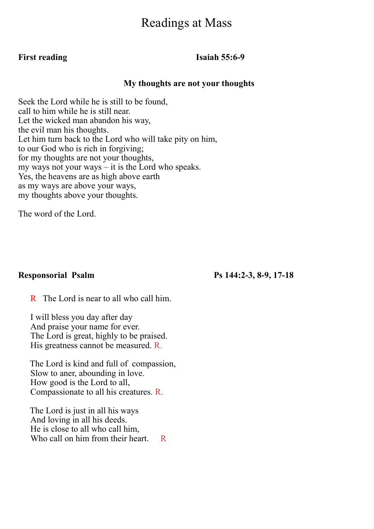## Readings at Mass

### **First reading Isaiah 55:6-9**

#### **My thoughts are not your thoughts**

Seek the Lord while he is still to be found, call to him while he is still near. Let the wicked man abandon his way, the evil man his thoughts. Let him turn back to the Lord who will take pity on him, to our God who is rich in forgiving; for my thoughts are not your thoughts, my ways not your ways – it is the Lord who speaks. Yes, the heavens are as high above earth as my ways are above your ways, my thoughts above your thoughts.

The word of the Lord.

#### **Responsorial Psalm Ps 144:2-3, 8-9, 17-18**

R The Lord is near to all who call him.

I will bless you day after day And praise your name for ever. The Lord is great, highly to be praised. His greatness cannot be measured. R.

The Lord is kind and full of compassion, Slow to aner, abounding in love. How good is the Lord to all, Compassionate to all his creatures. R.

The Lord is just in all his ways And loving in all his deeds. He is close to all who call him, Who call on him from their heart. R